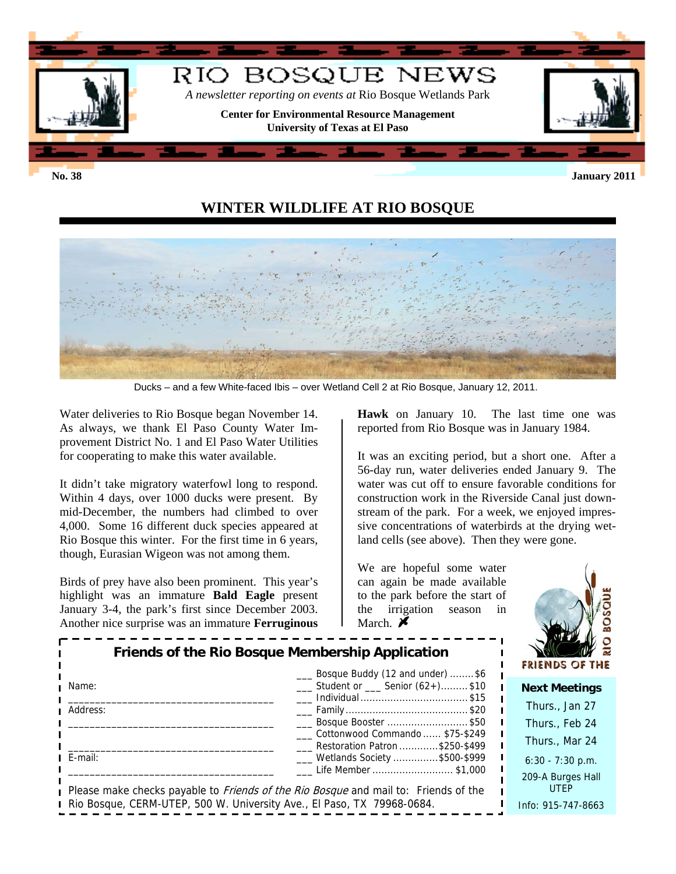

# **WINTER WILDLIFE AT RIO BOSQUE**



Ducks – and a few White-faced Ibis – over Wetland Cell 2 at Rio Bosque, January 12, 2011.

Water deliveries to Rio Bosque began November 14. As always, we thank El Paso County Water Improvement District No. 1 and El Paso Water Utilities for cooperating to make this water available.

It didn't take migratory waterfowl long to respond. Within 4 days, over 1000 ducks were present. By mid-December, the numbers had climbed to over 4,000. Some 16 different duck species appeared at Rio Bosque this winter. For the first time in 6 years, though, Eurasian Wigeon was not among them.

Birds of prey have also been prominent. This year's highlight was an immature **Bald Eagle** present January 3-4, the park's first since December 2003. Another nice surprise was an immature **Ferruginous** 

**Hawk** on January 10. The last time one was reported from Rio Bosque was in January 1984.

It was an exciting period, but a short one. After a 56-day run, water deliveries ended January 9. The water was cut off to ensure favorable conditions for construction work in the Riverside Canal just downstream of the park. For a week, we enjoyed impressive concentrations of waterbirds at the drying wetland cells (see above). Then they were gone.

We are hopeful some water can again be made available to the park before the start of the irrigation season in March.  $\blacktriangleright$ 



| Friends of the Rio Bosque Membership Application<br>Bosque Buddy (12 and under) \$6 |                                                                                                                   | <b>FRIENDS OF THE</b>            |
|-------------------------------------------------------------------------------------|-------------------------------------------------------------------------------------------------------------------|----------------------------------|
| Name:                                                                               | ___ Student or ___ Senior (62+)\$10                                                                               | <b>Next Meetings</b>             |
| Address:                                                                            | Individual \$15                                                                                                   | Thurs., Jan 27                   |
|                                                                                     | ___ Bosque Booster \$50                                                                                           | Thurs., Feb 24                   |
|                                                                                     | Cottonwood Commando  \$75-\$249<br>Restoration Patron \$250-\$499                                                 | Thurs., Mar 24                   |
| E-mail:                                                                             | ___ Wetlands Society \$500-\$999                                                                                  | $6:30 - 7:30$ p.m.               |
|                                                                                     | Life Member \$1,000<br>Please make checks payable to <i>Friends of the Rio Bosque</i> and mail to: Friends of the | 209-A Burges Hall<br><b>UTEP</b> |
| Rio Bosque, CERM-UTEP, 500 W. University Ave., El Paso, TX 79968-0684.              |                                                                                                                   | Info: 915-747-8663               |